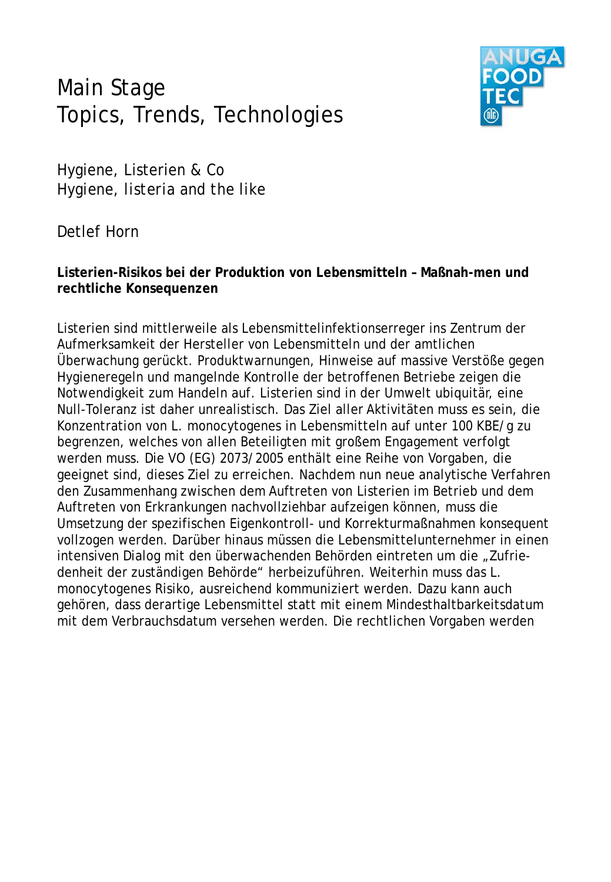## Main Stage Topics, Trends, Technologies



Hygiene, Listerien & Co *Hygiene, listeria and the like*

Detlef Horn

**Listerien-Risikos bei der Produktion von Lebensmitteln – Maßnah-men und rechtliche Konsequenzen**

Listerien sind mittlerweile als Lebensmittelinfektionserreger ins Zentrum der Aufmerksamkeit der Hersteller von Lebensmitteln und der amtlichen Überwachung gerückt. Produktwarnungen, Hinweise auf massive Verstöße gegen Hygieneregeln und mangelnde Kontrolle der betroffenen Betriebe zeigen die Notwendigkeit zum Handeln auf. Listerien sind in der Umwelt ubiquitär, eine Null-Toleranz ist daher unrealistisch. Das Ziel aller Aktivitäten muss es sein, die Konzentration von L. monocytogenes in Lebensmitteln auf unter 100 KBE/g zu begrenzen, welches von allen Beteiligten mit großem Engagement verfolgt werden muss. Die VO (EG) 2073/2005 enthält eine Reihe von Vorgaben, die geeignet sind, dieses Ziel zu erreichen. Nachdem nun neue analytische Verfahren den Zusammenhang zwischen dem Auftreten von Listerien im Betrieb und dem Auftreten von Erkrankungen nachvollziehbar aufzeigen können, muss die Umsetzung der spezifischen Eigenkontroll- und Korrekturmaßnahmen konsequent vollzogen werden. Darüber hinaus müssen die Lebensmittelunternehmer in einen intensiven Dialog mit den überwachenden Behörden eintreten um die "Zufriedenheit der zuständigen Behörde" herbeizuführen. Weiterhin muss das L. monocytogenes Risiko, ausreichend kommuniziert werden. Dazu kann auch gehören, dass derartige Lebensmittel statt mit einem Mindesthaltbarkeitsdatum mit dem Verbrauchsdatum versehen werden. Die rechtlichen Vorgaben werden